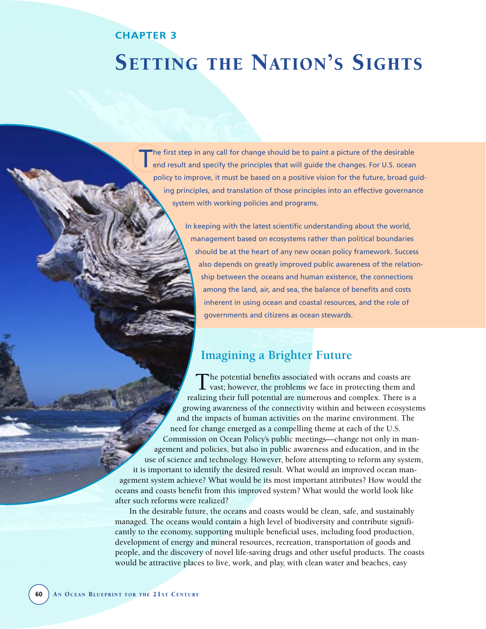# **CHAPTER 3**

# SETTING THE NATION'S SIGHTS

he first step in any call for change should be to paint a picture of the desirable end result and specify the principles that will guide the changes. For U.S. ocean policy to improve, it must be based on a positive vision for the future, broad guiding principles, and translation of those principles into an effective governance system with working policies and programs.

> In keeping with the latest scientific understanding about the world, management based on ecosystems rather than political boundaries should be at the heart of any new ocean policy framework. Success also depends on greatly improved public awareness of the relationship between the oceans and human existence, the connections among the land, air, and sea, the balance of benefits and costs inherent in using ocean and coastal resources, and the role of governments and citizens as ocean stewards.

# **Imagining a Brighter Future**

The potential benefits associated with oceans and coasts are  $\perp$  vast; however, the problems we face in protecting them and realizing their full potential are numerous and complex. There is a growing awareness of the connectivity within and between ecosystems and the impacts of human activities on the marine environment. The need for change emerged as a compelling theme at each of the U.S. Commission on Ocean Policy's public meetings—change not only in management and policies, but also in public awareness and education, and in the use of science and technology. However, before attempting to reform any system, it is important to identify the desired result. What would an improved ocean management system achieve? What would be its most important attributes? How would the oceans and coasts benefit from this improved system? What would the world look like after such reforms were realized?

In the desirable future, the oceans and coasts would be clean, safe, and sustainably managed. The oceans would contain a high level of biodiversity and contribute significantly to the economy, supporting multiple beneficial uses, including food production, development of energy and mineral resources, recreation, transportation of goods and people, and the discovery of novel life-saving drugs and other useful products. The coasts would be attractive places to live, work, and play, with clean water and beaches, easy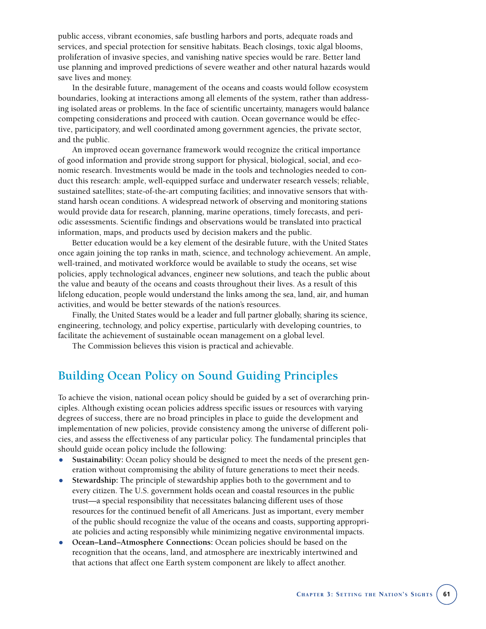public access, vibrant economies, safe bustling harbors and ports, adequate roads and services, and special protection for sensitive habitats. Beach closings, toxic algal blooms, proliferation of invasive species, and vanishing native species would be rare. Better land use planning and improved predictions of severe weather and other natural hazards would save lives and money.

In the desirable future, management of the oceans and coasts would follow ecosystem boundaries, looking at interactions among all elements of the system, rather than addressing isolated areas or problems. In the face of scientific uncertainty, managers would balance competing considerations and proceed with caution. Ocean governance would be effective, participatory, and well coordinated among government agencies, the private sector, and the public.

An improved ocean governance framework would recognize the critical importance of good information and provide strong support for physical, biological, social, and economic research. Investments would be made in the tools and technologies needed to conduct this research: ample, well-equipped surface and underwater research vessels; reliable, sustained satellites; state-of-the-art computing facilities; and innovative sensors that withstand harsh ocean conditions. A widespread network of observing and monitoring stations would provide data for research, planning, marine operations, timely forecasts, and periodic assessments. Scientific findings and observations would be translated into practical information, maps, and products used by decision makers and the public.

Better education would be a key element of the desirable future, with the United States once again joining the top ranks in math, science, and technology achievement. An ample, well-trained, and motivated workforce would be available to study the oceans, set wise policies, apply technological advances, engineer new solutions, and teach the public about the value and beauty of the oceans and coasts throughout their lives. As a result of this lifelong education, people would understand the links among the sea, land, air, and human activities, and would be better stewards of the nation's resources.

Finally, the United States would be a leader and full partner globally, sharing its science, engineering, technology, and policy expertise, particularly with developing countries, to facilitate the achievement of sustainable ocean management on a global level.

The Commission believes this vision is practical and achievable.

# **Building Ocean Policy on Sound Guiding Principles**

To achieve the vision, national ocean policy should be guided by a set of overarching principles. Although existing ocean policies address specific issues or resources with varying degrees of success, there are no broad principles in place to guide the development and implementation of new policies, provide consistency among the universe of different policies, and assess the effectiveness of any particular policy. The fundamental principles that should guide ocean policy include the following:

- **Sustainability:** Ocean policy should be designed to meet the needs of the present generation without compromising the ability of future generations to meet their needs.
- **Stewardship:** The principle of stewardship applies both to the government and to every citizen. The U.S. government holds ocean and coastal resources in the public trust—a special responsibility that necessitates balancing different uses of those resources for the continued benefit of all Americans. Just as important, every member of the public should recognize the value of the oceans and coasts, supporting appropriate policies and acting responsibly while minimizing negative environmental impacts.
- **Ocean–Land–Atmosphere Connections:** Ocean policies should be based on the recognition that the oceans, land, and atmosphere are inextricably intertwined and that actions that affect one Earth system component are likely to affect another.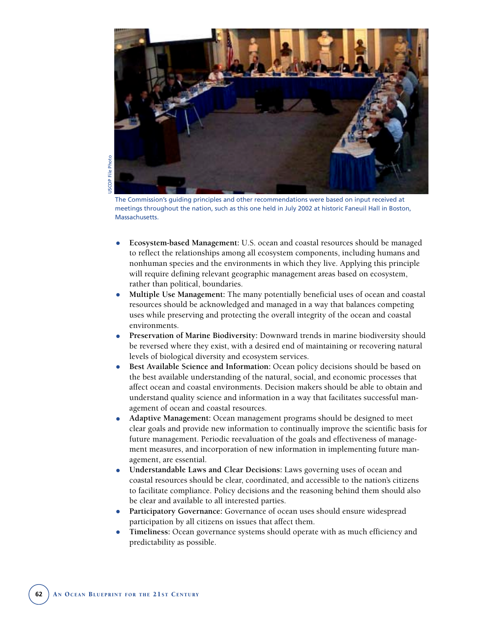

JSCOP File Photo USCOP File Photo

The Commission's guiding principles and other recommendations were based on input received at meetings throughout the nation, such as this one held in July 2002 at historic Faneuil Hall in Boston, Massachusetts.

- **Ecosystem-based Management:** U.S. ocean and coastal resources should be managed to reflect the relationships among all ecosystem components, including humans and nonhuman species and the environments in which they live. Applying this principle will require defining relevant geographic management areas based on ecosystem, rather than political, boundaries.
- **Multiple Use Management:** The many potentially beneficial uses of ocean and coastal resources should be acknowledged and managed in a way that balances competing uses while preserving and protecting the overall integrity of the ocean and coastal environments.
- **Preservation of Marine Biodiversity:** Downward trends in marine biodiversity should be reversed where they exist, with a desired end of maintaining or recovering natural levels of biological diversity and ecosystem services.
- **Best Available Science and Information:** Ocean policy decisions should be based on the best available understanding of the natural, social, and economic processes that affect ocean and coastal environments. Decision makers should be able to obtain and understand quality science and information in a way that facilitates successful management of ocean and coastal resources.
- **Adaptive Management:** Ocean management programs should be designed to meet clear goals and provide new information to continually improve the scientific basis for future management. Periodic reevaluation of the goals and effectiveness of management measures, and incorporation of new information in implementing future management, are essential.
- **Understandable Laws and Clear Decisions:** Laws governing uses of ocean and coastal resources should be clear, coordinated, and accessible to the nation's citizens to facilitate compliance. Policy decisions and the reasoning behind them should also be clear and available to all interested parties.
- Participatory Governance: Governance of ocean uses should ensure widespread participation by all citizens on issues that affect them.
- **Timeliness:** Ocean governance systems should operate with as much efficiency and predictability as possible.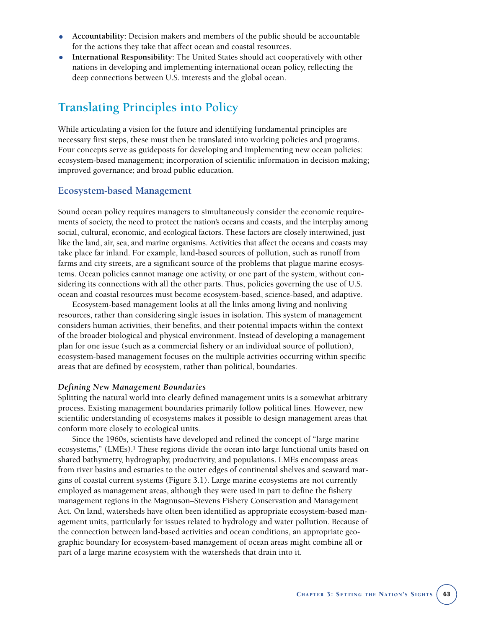- **Accountability:** Decision makers and members of the public should be accountable for the actions they take that affect ocean and coastal resources.
- **International Responsibility:** The United States should act cooperatively with other nations in developing and implementing international ocean policy, reflecting the deep connections between U.S. interests and the global ocean.

# **Translating Principles into Policy**

While articulating a vision for the future and identifying fundamental principles are necessary first steps, these must then be translated into working policies and programs. Four concepts serve as guideposts for developing and implementing new ocean policies: ecosystem-based management; incorporation of scientific information in decision making; improved governance; and broad public education.

# **Ecosystem-based Management**

Sound ocean policy requires managers to simultaneously consider the economic requirements of society, the need to protect the nation's oceans and coasts, and the interplay among social, cultural, economic, and ecological factors. These factors are closely intertwined, just like the land, air, sea, and marine organisms. Activities that affect the oceans and coasts may take place far inland. For example, land-based sources of pollution, such as runoff from farms and city streets, are a significant source of the problems that plague marine ecosystems. Ocean policies cannot manage one activity, or one part of the system, without considering its connections with all the other parts. Thus, policies governing the use of U.S. ocean and coastal resources must become ecosystem-based, science-based, and adaptive.

Ecosystem-based management looks at all the links among living and nonliving resources, rather than considering single issues in isolation. This system of management considers human activities, their benefits, and their potential impacts within the context of the broader biological and physical environment. Instead of developing a management plan for one issue (such as a commercial fishery or an individual source of pollution), ecosystem-based management focuses on the multiple activities occurring within specific areas that are defined by ecosystem, rather than political, boundaries.

#### *Defining New Management Boundaries*

Splitting the natural world into clearly defined management units is a somewhat arbitrary process. Existing management boundaries primarily follow political lines. However, new scientific understanding of ecosystems makes it possible to design management areas that conform more closely to ecological units.

Since the 1960s, scientists have developed and refined the concept of "large marine ecosystems," (LMEs).<sup>1</sup> These regions divide the ocean into large functional units based on shared bathymetry, hydrography, productivity, and populations. LMEs encompass areas from river basins and estuaries to the outer edges of continental shelves and seaward margins of coastal current systems (Figure 3.1). Large marine ecosystems are not currently employed as management areas, although they were used in part to define the fishery management regions in the Magnuson–Stevens Fishery Conservation and Management Act. On land, watersheds have often been identified as appropriate ecosystem-based management units, particularly for issues related to hydrology and water pollution. Because of the connection between land-based activities and ocean conditions, an appropriate geographic boundary for ecosystem-based management of ocean areas might combine all or part of a large marine ecosystem with the watersheds that drain into it.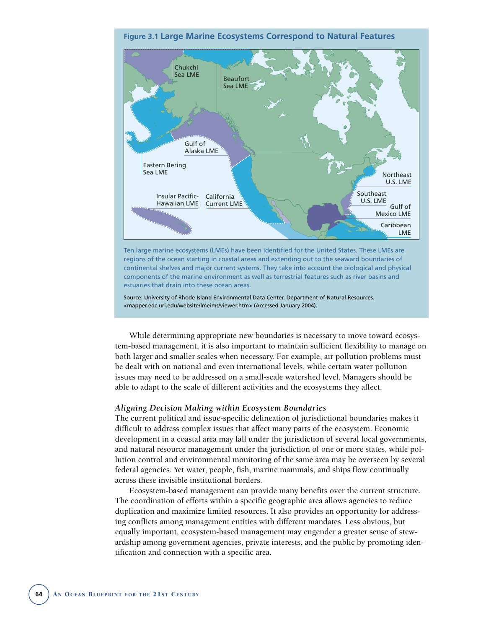

Source: University of Rhode Island Environmental Data Center, Department of Natural Resources. <mapper.edc.uri.edu/website/lmeims/viewer.htm> (Accessed January 2004).

While determining appropriate new boundaries is necessary to move toward ecosystem-based management, it is also important to maintain sufficient flexibility to manage on both larger and smaller scales when necessary. For example, air pollution problems must be dealt with on national and even international levels, while certain water pollution issues may need to be addressed on a small-scale watershed level. Managers should be able to adapt to the scale of different activities and the ecosystems they affect.

#### *Aligning Decision Making within Ecosystem Boundaries*

The current political and issue-specific delineation of jurisdictional boundaries makes it difficult to address complex issues that affect many parts of the ecosystem. Economic development in a coastal area may fall under the jurisdiction of several local governments, and natural resource management under the jurisdiction of one or more states, while pollution control and environmental monitoring of the same area may be overseen by several federal agencies. Yet water, people, fish, marine mammals, and ships flow continually across these invisible institutional borders.

Ecosystem-based management can provide many benefits over the current structure. The coordination of efforts within a specific geographic area allows agencies to reduce duplication and maximize limited resources. It also provides an opportunity for addressing conflicts among management entities with different mandates. Less obvious, but equally important, ecosystem-based management may engender a greater sense of stewardship among government agencies, private interests, and the public by promoting identification and connection with a specific area.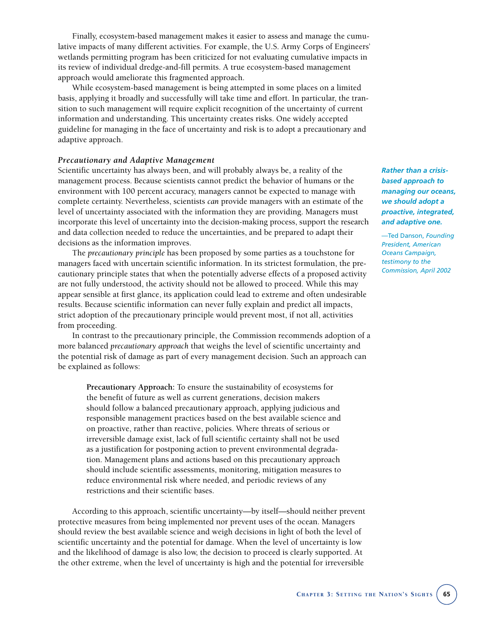Finally, ecosystem-based management makes it easier to assess and manage the cumulative impacts of many different activities. For example, the U.S. Army Corps of Engineers' wetlands permitting program has been criticized for not evaluating cumulative impacts in its review of individual dredge-and-fill permits. A true ecosystem-based management approach would ameliorate this fragmented approach.

While ecosystem-based management is being attempted in some places on a limited basis, applying it broadly and successfully will take time and effort. In particular, the transition to such management will require explicit recognition of the uncertainty of current information and understanding. This uncertainty creates risks. One widely accepted guideline for managing in the face of uncertainty and risk is to adopt a precautionary and adaptive approach.

#### *Precautionary and Adaptive Management*

Scientific uncertainty has always been, and will probably always be, a reality of the management process. Because scientists cannot predict the behavior of humans or the environment with 100 percent accuracy, managers cannot be expected to manage with complete certainty. Nevertheless, scientists *can* provide managers with an estimate of the level of uncertainty associated with the information they are providing. Managers must incorporate this level of uncertainty into the decision-making process, support the research and data collection needed to reduce the uncertainties, and be prepared to adapt their decisions as the information improves.

The *precautionary principle* has been proposed by some parties as a touchstone for managers faced with uncertain scientific information. In its strictest formulation, the precautionary principle states that when the potentially adverse effects of a proposed activity are not fully understood, the activity should not be allowed to proceed. While this may appear sensible at first glance, its application could lead to extreme and often undesirable results. Because scientific information can never fully explain and predict all impacts, strict adoption of the precautionary principle would prevent most, if not all, activities from proceeding.

In contrast to the precautionary principle, the Commission recommends adoption of a more balanced *precautionary approach* that weighs the level of scientific uncertainty and the potential risk of damage as part of every management decision. Such an approach can be explained as follows:

**Precautionary Approach:** To ensure the sustainability of ecosystems for the benefit of future as well as current generations, decision makers should follow a balanced precautionary approach, applying judicious and responsible management practices based on the best available science and on proactive, rather than reactive, policies. Where threats of serious or irreversible damage exist, lack of full scientific certainty shall not be used as a justification for postponing action to prevent environmental degradation. Management plans and actions based on this precautionary approach should include scientific assessments, monitoring, mitigation measures to reduce environmental risk where needed, and periodic reviews of any restrictions and their scientific bases.

According to this approach, scientific uncertainty—by itself—should neither prevent protective measures from being implemented nor prevent uses of the ocean. Managers should review the best available science and weigh decisions in light of both the level of scientific uncertainty and the potential for damage. When the level of uncertainty is low and the likelihood of damage is also low, the decision to proceed is clearly supported. At the other extreme, when the level of uncertainty is high and the potential for irreversible

*Rather than a crisisbased approach to managing our oceans, we should adopt a proactive, integrated, and adaptive one.*

—Ted Danson, *Founding President, American Oceans Campaign, testimony to the Commission, April 2002*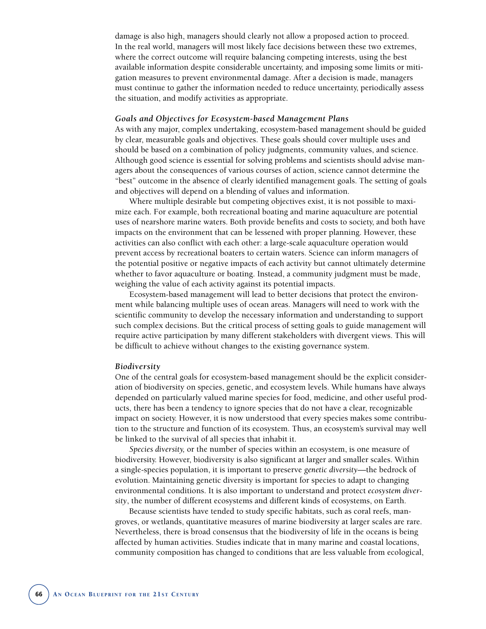damage is also high, managers should clearly not allow a proposed action to proceed. In the real world, managers will most likely face decisions between these two extremes, where the correct outcome will require balancing competing interests, using the best available information despite considerable uncertainty, and imposing some limits or mitigation measures to prevent environmental damage. After a decision is made, managers must continue to gather the information needed to reduce uncertainty, periodically assess the situation, and modify activities as appropriate.

#### *Goals and Objectives for Ecosystem-based Management Plans*

As with any major, complex undertaking, ecosystem-based management should be guided by clear, measurable goals and objectives. These goals should cover multiple uses and should be based on a combination of policy judgments, community values, and science. Although good science is essential for solving problems and scientists should advise managers about the consequences of various courses of action, science cannot determine the "best" outcome in the absence of clearly identified management goals. The setting of goals and objectives will depend on a blending of values and information.

Where multiple desirable but competing objectives exist, it is not possible to maximize each. For example, both recreational boating and marine aquaculture are potential uses of nearshore marine waters. Both provide benefits and costs to society, and both have impacts on the environment that can be lessened with proper planning. However, these activities can also conflict with each other: a large-scale aquaculture operation would prevent access by recreational boaters to certain waters. Science can inform managers of the potential positive or negative impacts of each activity but cannot ultimately determine whether to favor aquaculture or boating. Instead, a community judgment must be made, weighing the value of each activity against its potential impacts.

Ecosystem-based management will lead to better decisions that protect the environment while balancing multiple uses of ocean areas. Managers will need to work with the scientific community to develop the necessary information and understanding to support such complex decisions. But the critical process of setting goals to guide management will require active participation by many different stakeholders with divergent views. This will be difficult to achieve without changes to the existing governance system.

#### *Biodiversity*

One of the central goals for ecosystem-based management should be the explicit consideration of biodiversity on species, genetic, and ecosystem levels. While humans have always depended on particularly valued marine species for food, medicine, and other useful products, there has been a tendency to ignore species that do not have a clear, recognizable impact on society. However, it is now understood that every species makes some contribution to the structure and function of its ecosystem. Thus, an ecosystem's survival may well be linked to the survival of all species that inhabit it.

*Species diversity,* or the number of species within an ecosystem, is one measure of biodiversity. However, biodiversity is also significant at larger and smaller scales. Within a single-species population, it is important to preserve *genetic diversity*—the bedrock of evolution. Maintaining genetic diversity is important for species to adapt to changing environmental conditions. It is also important to understand and protect *ecosystem diversity*, the number of different ecosystems and different kinds of ecosystems, on Earth.

Because scientists have tended to study specific habitats, such as coral reefs, mangroves, or wetlands, quantitative measures of marine biodiversity at larger scales are rare. Nevertheless, there is broad consensus that the biodiversity of life in the oceans is being affected by human activities. Studies indicate that in many marine and coastal locations, community composition has changed to conditions that are less valuable from ecological,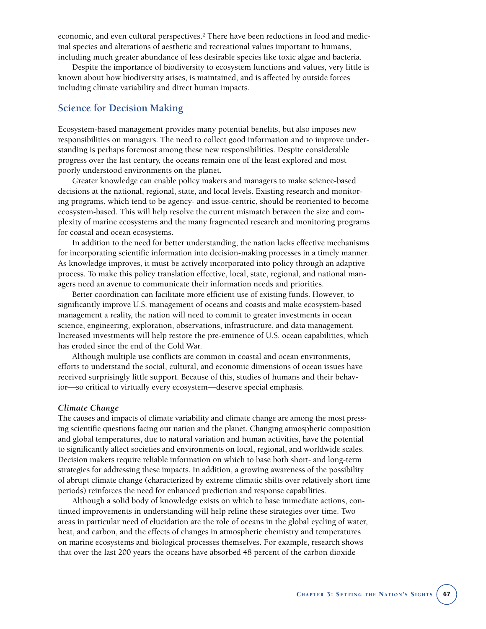economic, and even cultural perspectives.2 There have been reductions in food and medicinal species and alterations of aesthetic and recreational values important to humans, including much greater abundance of less desirable species like toxic algae and bacteria.

Despite the importance of biodiversity to ecosystem functions and values, very little is known about how biodiversity arises, is maintained, and is affected by outside forces including climate variability and direct human impacts.

## **Science for Decision Making**

Ecosystem-based management provides many potential benefits, but also imposes new responsibilities on managers. The need to collect good information and to improve understanding is perhaps foremost among these new responsibilities. Despite considerable progress over the last century, the oceans remain one of the least explored and most poorly understood environments on the planet.

Greater knowledge can enable policy makers and managers to make science-based decisions at the national, regional, state, and local levels. Existing research and monitoring programs, which tend to be agency- and issue-centric, should be reoriented to become ecosystem-based. This will help resolve the current mismatch between the size and complexity of marine ecosystems and the many fragmented research and monitoring programs for coastal and ocean ecosystems.

In addition to the need for better understanding, the nation lacks effective mechanisms for incorporating scientific information into decision-making processes in a timely manner. As knowledge improves, it must be actively incorporated into policy through an adaptive process. To make this policy translation effective, local, state, regional, and national managers need an avenue to communicate their information needs and priorities.

Better coordination can facilitate more efficient use of existing funds. However, to significantly improve U.S. management of oceans and coasts and make ecosystem-based management a reality, the nation will need to commit to greater investments in ocean science, engineering, exploration, observations, infrastructure, and data management. Increased investments will help restore the pre-eminence of U.S. ocean capabilities, which has eroded since the end of the Cold War.

Although multiple use conflicts are common in coastal and ocean environments, efforts to understand the social, cultural, and economic dimensions of ocean issues have received surprisingly little support. Because of this, studies of humans and their behavior—so critical to virtually every ecosystem—deserve special emphasis.

#### *Climate Change*

The causes and impacts of climate variability and climate change are among the most pressing scientific questions facing our nation and the planet. Changing atmospheric composition and global temperatures, due to natural variation and human activities, have the potential to significantly affect societies and environments on local, regional, and worldwide scales. Decision makers require reliable information on which to base both short- and long-term strategies for addressing these impacts. In addition, a growing awareness of the possibility of abrupt climate change (characterized by extreme climatic shifts over relatively short time periods) reinforces the need for enhanced prediction and response capabilities.

Although a solid body of knowledge exists on which to base immediate actions, continued improvements in understanding will help refine these strategies over time. Two areas in particular need of elucidation are the role of oceans in the global cycling of water, heat, and carbon, and the effects of changes in atmospheric chemistry and temperatures on marine ecosystems and biological processes themselves. For example, research shows that over the last 200 years the oceans have absorbed 48 percent of the carbon dioxide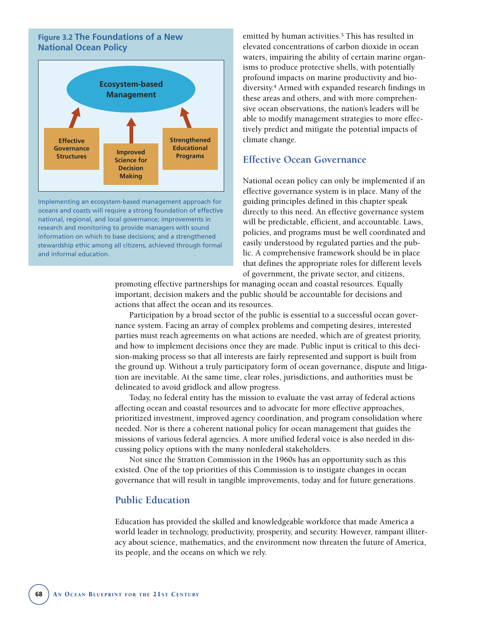## **Figure 3.2 The Foundations of a New National Ocean Policy**



Implementing an ecosystem-based management approach for oceans and coasts will require a strong foundation of effective national, regional, and local governance; improvements in research and monitoring to provide managers with sound information on which to base decisions; and a strengthened stewardship ethic among all citizens, achieved through formal and informal education.

emitted by human activities.<sup>3</sup> This has resulted in elevated concentrations of carbon dioxide in ocean waters, impairing the ability of certain marine organisms to produce protective shells, with potentially profound impacts on marine productivity and biodiversity.4 Armed with expanded research findings in these areas and others, and with more comprehensive ocean observations, the nation's leaders will be able to modify management strategies to more effectively predict and mitigate the potential impacts of climate change.

## **Effective Ocean Governance**

National ocean policy can only be implemented if an effective governance system is in place. Many of the guiding principles defined in this chapter speak directly to this need. An effective governance system will be predictable, efficient, and accountable. Laws, policies, and programs must be well coordinated and easily understood by regulated parties and the public. A comprehensive framework should be in place that defines the appropriate roles for different levels of government, the private sector, and citizens,

promoting effective partnerships for managing ocean and coastal resources. Equally important, decision makers and the public should be accountable for decisions and actions that affect the ocean and its resources.

Participation by a broad sector of the public is essential to a successful ocean governance system. Facing an array of complex problems and competing desires, interested parties must reach agreements on what actions are needed, which are of greatest priority, and how to implement decisions once they are made. Public input is critical to this decision-making process so that all interests are fairly represented and support is built from the ground up. Without a truly participatory form of ocean governance, dispute and litigation are inevitable. At the same time, clear roles, jurisdictions, and authorities must be delineated to avoid gridlock and allow progress.

Today, no federal entity has the mission to evaluate the vast array of federal actions affecting ocean and coastal resources and to advocate for more effective approaches, prioritized investment, improved agency coordination, and program consolidation where needed. Nor is there a coherent national policy for ocean management that guides the missions of various federal agencies. A more unified federal voice is also needed in discussing policy options with the many nonfederal stakeholders.

Not since the Stratton Commission in the 1960s has an opportunity such as this existed. One of the top priorities of this Commission is to instigate changes in ocean governance that will result in tangible improvements, today and for future generations.

## **Public Education**

Education has provided the skilled and knowledgeable workforce that made America a world leader in technology, productivity, prosperity, and security. However, rampant illiteracy about science, mathematics, and the environment now threaten the future of America, its people, and the oceans on which we rely.